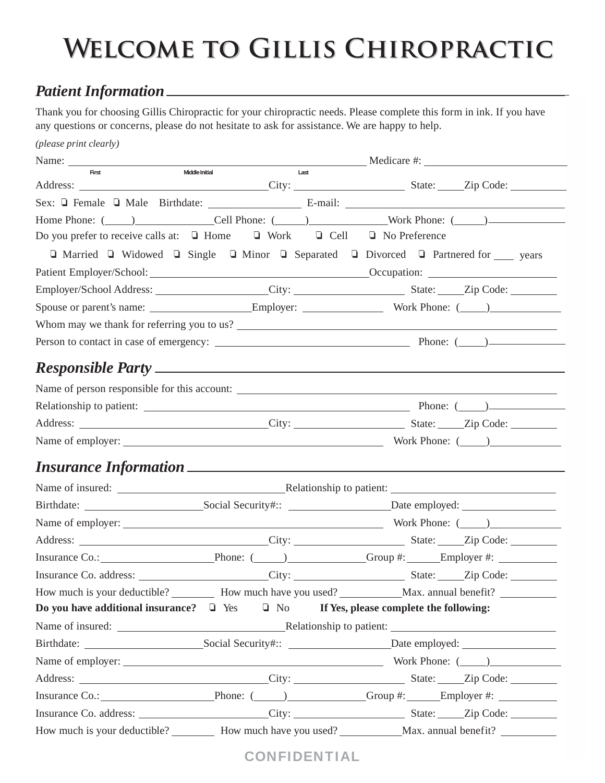# **Welcome to Gillis Chiropractic**

## *Patient Information*

Thank you for choosing Gillis Chiropractic for your chiropractic needs. Please complete this form in ink. If you have any questions or concerns, please do not hesitate to ask for assistance. We are happy to help.

| (please print clearly)                                                                      |                        |                                                                                                                                                                                                                                |
|---------------------------------------------------------------------------------------------|------------------------|--------------------------------------------------------------------------------------------------------------------------------------------------------------------------------------------------------------------------------|
|                                                                                             |                        | Name: Neutralian Medicare #:                                                                                                                                                                                                   |
| First                                                                                       | Middle Initial<br>Last |                                                                                                                                                                                                                                |
|                                                                                             |                        |                                                                                                                                                                                                                                |
|                                                                                             |                        | Home Phone: (Call Phone: (Call Phone: (Call Phone: (Call Phone: (Call Phone: (Call Phone: (Call Phone: (Call Phone: (Call Phone: (Call Phone: (Call Phone: (Call Phone: (Call Phone: (Call Phone: (Call Phone: (Call Phone: (C |
| Do you prefer to receive calls at: $\Box$ Home $\Box$ Work $\Box$ Cell $\Box$ No Preference |                        |                                                                                                                                                                                                                                |
|                                                                                             |                        | $\Box$ Married $\Box$ Widowed $\Box$ Single $\Box$ Minor $\Box$ Separated $\Box$ Divorced $\Box$ Partnered for <u>se</u> years                                                                                                 |
|                                                                                             |                        |                                                                                                                                                                                                                                |
|                                                                                             |                        |                                                                                                                                                                                                                                |
|                                                                                             |                        |                                                                                                                                                                                                                                |
|                                                                                             |                        |                                                                                                                                                                                                                                |
|                                                                                             |                        |                                                                                                                                                                                                                                |
|                                                                                             |                        |                                                                                                                                                                                                                                |
|                                                                                             |                        | Name of person responsible for this account:                                                                                                                                                                                   |
|                                                                                             |                        |                                                                                                                                                                                                                                |
|                                                                                             |                        |                                                                                                                                                                                                                                |
|                                                                                             |                        |                                                                                                                                                                                                                                |
|                                                                                             |                        |                                                                                                                                                                                                                                |
|                                                                                             |                        |                                                                                                                                                                                                                                |
|                                                                                             |                        |                                                                                                                                                                                                                                |
|                                                                                             |                        |                                                                                                                                                                                                                                |
|                                                                                             |                        |                                                                                                                                                                                                                                |
|                                                                                             |                        | Insurance Co.: Phone: (2008) Phone: (2008) Phone: Contact School Associates Co.: Contact Phone: (2009) Phone: Contact School Associates Co.: Contact Phone: (2008) Phone: Contact School Associates Co.: Contact Phone: (2009) |
|                                                                                             |                        | Insurance Co. address: _______________________City: ______________________________Zip Code: ________                                                                                                                           |
|                                                                                             |                        | How much is your deductible? __________ How much have you used? ____________ Max. annual benefit? ___________                                                                                                                  |
|                                                                                             |                        | Do you have additional insurance? $\Box$ Yes $\Box$ No If Yes, please complete the following:                                                                                                                                  |
|                                                                                             |                        |                                                                                                                                                                                                                                |
|                                                                                             |                        |                                                                                                                                                                                                                                |
|                                                                                             |                        |                                                                                                                                                                                                                                |
|                                                                                             |                        |                                                                                                                                                                                                                                |
|                                                                                             |                        | Insurance Co.: Phone: (Co. 2) Croup #: Employer #:                                                                                                                                                                             |
|                                                                                             |                        |                                                                                                                                                                                                                                |
|                                                                                             |                        | How much is your deductible? __________ How much have you used? ___________ Max. annual benefit? ____________                                                                                                                  |

CONFIDENTIAL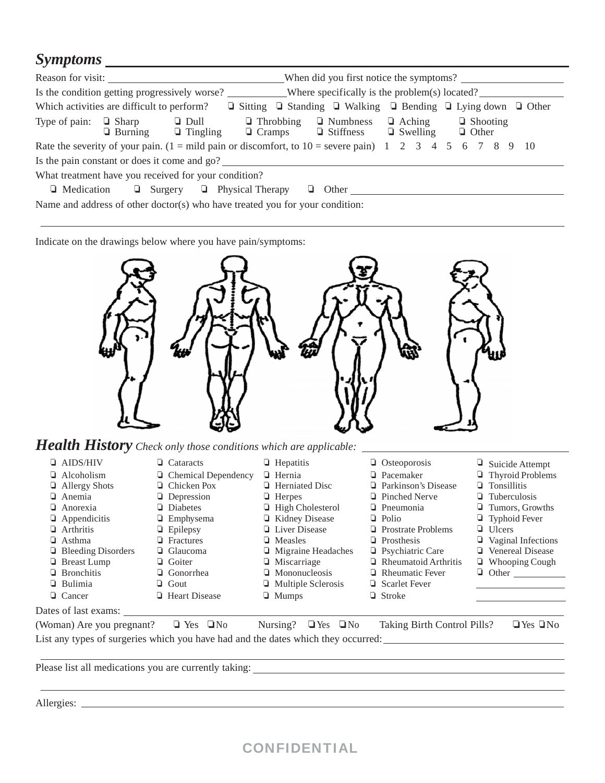#### *Symptoms*

|                                                                                                                                                                                      |  | Reason for visit:<br>When did you first notice the symptoms?                 |  |               |                                                                                             |  |                                  |  |                                 |  |  |
|--------------------------------------------------------------------------------------------------------------------------------------------------------------------------------------|--|------------------------------------------------------------------------------|--|---------------|---------------------------------------------------------------------------------------------|--|----------------------------------|--|---------------------------------|--|--|
|                                                                                                                                                                                      |  |                                                                              |  |               |                                                                                             |  |                                  |  |                                 |  |  |
| Which activities are difficult to perform?                                                                                                                                           |  |                                                                              |  |               | $\Box$ Sitting $\Box$ Standing $\Box$ Walking $\Box$ Bending $\Box$ Lying down $\Box$ Other |  |                                  |  |                                 |  |  |
| Type of pain: $\Box$ Sharp                                                                                                                                                           |  | $\Box$ Dull<br>$\Box$ Burning $\Box$ Tingling                                |  | $\Box$ Cramps | $\Box$ Throbbing $\Box$ Numbness<br>$\Box$ Stiffness                                        |  | $\Box$ Aching<br>$\Box$ Swelling |  | $\Box$ Shooting<br>$\Box$ Other |  |  |
| Rate the severity of your pain. $(1 = \text{mild pain or disconnect}, t_0 10 = \text{severe pain}) \quad 1 \quad 2 \quad 3 \quad 4 \quad 5 \quad 6 \quad 7 \quad 8 \quad 9 \quad 10$ |  |                                                                              |  |               |                                                                                             |  |                                  |  |                                 |  |  |
| Is the pain constant or does it come and go?                                                                                                                                         |  |                                                                              |  |               |                                                                                             |  |                                  |  |                                 |  |  |
| What treatment have you received for your condition?                                                                                                                                 |  |                                                                              |  |               |                                                                                             |  |                                  |  |                                 |  |  |
| $\Box$ Medication                                                                                                                                                                    |  | $\Box$ Surgery $\Box$ Physical Therapy                                       |  | u.            | Other                                                                                       |  |                                  |  |                                 |  |  |
|                                                                                                                                                                                      |  | Name and address of other doctor(s) who have treated you for your condition: |  |               |                                                                                             |  |                                  |  |                                 |  |  |

Indicate on the drawings below where you have pain/symptoms:



*Health History Check only those conditions which are applicable:* 

❏ AIDS/HIV ❏ Cataracts ❏ Hepatitis ❏ Osteoporosis ❏ Suicide Attempt ❏ Alcoholism ❏ Chemical Dependency ❏ Hernia ❏ Pacemaker ❏ Thyroid Problems ❏ Allergy Shots ❏ Chicken Pox ❏ Herniated Disc ❏ Parkinson's Disease ❏ Tonsillitis ❏ Anemia ❏ Depression ❏ Herpes ❏ Pinched Nerve ❏ Tuberculosis ❏ Anorexia ❏ Diabetes ❏ High Cholesterol ❏ Pneumonia ❏ Tumors, Growths ❏ Appendicitis ❏ Emphysema ❏ Kidney Disease ❏ Polio ❏ Typhoid Fever ❏ Arthritis ❏ Epilepsy ❏ Liver Disease ❏ Prostrate Problems ❏ Ulcers ❏ Asthma ❏ Fractures ❏ Measles ❏ Prosthesis ❏ Vaginal Infections ❏ Bleeding Disorders ❏ Glaucoma ❏ Migraine Headaches ❏ Psychiatric Care ❏ Venereal Disease ❏ Breast Lump ❏ Goiter ❏ Miscarriage ❏ Rheumatoid Arthritis ❏ Whooping Cough ❏ Bronchitis ❏ Gonorrhea ❏ Mononucleosis ❏ Rheumatic Fever ❏ Other ❏ Bulimia ❏ Gout ❏ Multiple Sclerosis ❏ Scarlet Fever ❏ Cancer ❏ Heart Disease ❏ Mumps ❏ Stroke Dates of last exams: (Woman) Are you pregnant? ❏ Yes ❏No Nursing? ❏Yes ❏No Taking Birth Control Pills? ❏Yes ❏No

List any types of surgeries which you have had and the dates which they occurred:

Please list all medications you are currently taking:

Allergies:

### CONFIDENTIAL